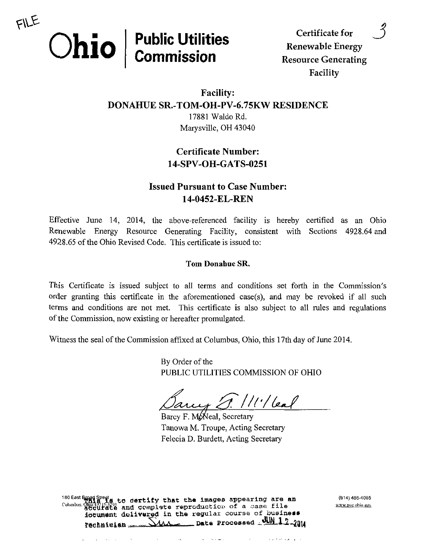

Certificate for ^ Renewable Energy Facility

## Facility: DONAHUE SR.-TOM-OH-PV-6.75KW RESIDENCE 17881 Waldo Rd. Marysville, OH 43040

# Certificate Number: 14-SPV-OH-GATS-0251

# **Issued Pursuant to Case Number:** 14-0452-EL-REN

Effective June 14, 2014, the above-referenced facility is hereby certified as an Ohio Renewable Energy Resource Generating Facility, consistent with Sections 4928.64 and 4928.65 of the Ohio Revised Code. This certificate is issued to:

### Tom Donahue SR.

This Certificate is issued subject to all terms and conditions set forth in the Commission's order granting this certificate in the aforementioned case(s), and may be revoked if all such terms and conditions are not met. This certificate is also subject to all rules and regulations of the Commission, now existing or hereafter promulgated.

Witness the seal of the Commission affixed at Columbus, Ohio, this 17th day of June 2014.

By Order of the PUBLIC UTILITIES COMMISSION OF OHIO

 $1.$  //('/(eal)

Barcy F. M. Neal, Secretary Tanowa M. Troupe, Acting Secretary Felecia D. Burdett, Acting Secretary

180 East Binad Streat to dertify that the images appearing are an  $(614)$  466-4095  $\frac{1}{2}$ Columbus. Ouga $\frac{1}{2}$  and ocmplate reproduction of a case file  $\frac{w \cdot w \cdot \text{log} \cdot \text{log} \cdot \text{log} \cdot \text{log} \cdot \text{log} \cdot \text{log} \cdot \text{log} \cdot \text{log} \cdot \text{log} \cdot \text{log} \cdot \text{log} \cdot \text{log} \cdot \text{log} \cdot \text{log} \cdot \text{log} \cdot \text{log} \cdot \text{log} \cdot \text{log} \cdot \text{log} \cdot \text{log$ ibtument delivered in the regular course of business rechnician  $S_{MAX}$  Date Processed  $W_{1,2-2014}$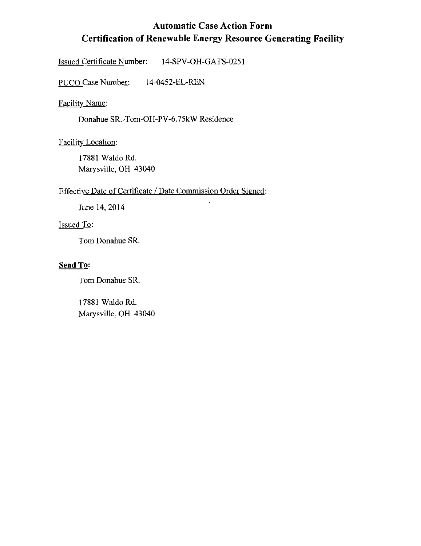# Automatic Case Action Form Certification of Renewable Energy Resource Generating Facility

ı,

Issued Certificate Number: 14-SPV-OH-GATS-0251

PUCO Case Number: 14-0452-EL-REN

Facility Name:

Donahue SR.-Tom-OH-PV-6.75kW Residence

Facility Location:

17881 Waldo Rd, Marysville, OH 43040

### Effective Date of Certificate / Date Commission Order Signed:

June 14, 2014

## Issued To:

Tom Donahue SR.

### Send To:

Tom Donahue SR.

17881 Waldo Rd. Marysville, OH 43040